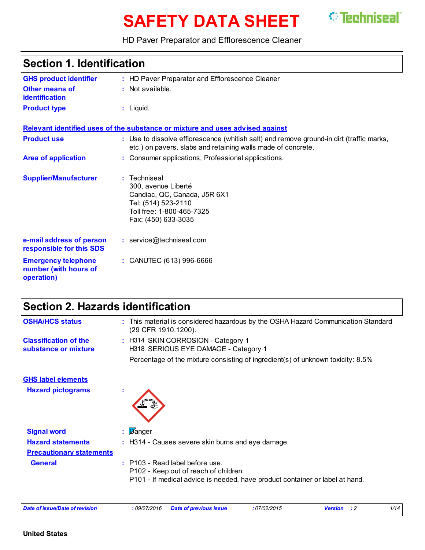# **SAFETY DATA SHEET**



HD Paver Preparator and Efflorescence Cleaner

## **Section 1. Identification**

| <b>GHS product identifier</b>                                     | : HD Paver Preparator and Efflorescence Cleaner                                                                                                          |
|-------------------------------------------------------------------|----------------------------------------------------------------------------------------------------------------------------------------------------------|
| <b>Other means of</b><br><b>identification</b>                    | $:$ Not available.                                                                                                                                       |
| <b>Product type</b>                                               | $:$ Liquid.                                                                                                                                              |
|                                                                   | Relevant identified uses of the substance or mixture and uses advised against                                                                            |
| <b>Product use</b>                                                | : Use to dissolve efflorescence (whitish salt) and remove ground-in dirt (traffic marks,<br>etc.) on pavers, slabs and retaining walls made of concrete. |
| <b>Area of application</b>                                        | : Consumer applications, Professional applications.                                                                                                      |
| <b>Supplier/Manufacturer</b>                                      | : Techniseal<br>300, avenue Liberté<br>Candiac, QC, Canada, J5R 6X1<br>Tel: (514) 523-2110<br>Toll free: 1-800-465-7325<br>Fax: (450) 633-3035           |
| e-mail address of person<br>responsible for this SDS              | : service@techniseal.com                                                                                                                                 |
| <b>Emergency telephone</b><br>number (with hours of<br>operation) | : CANUTEC (613) 996-6666                                                                                                                                 |

## **Section 2. Hazards identification**

| <b>OSHA/HCS status</b>                               | This material is considered hazardous by the OSHA Hazard Communication Standard<br>(29 CFR 1910.1200).                                                     |
|------------------------------------------------------|------------------------------------------------------------------------------------------------------------------------------------------------------------|
| <b>Classification of the</b><br>substance or mixture | : H314 SKIN CORROSION - Category 1<br>H318 SERIOUS EYE DAMAGE - Category 1                                                                                 |
|                                                      | Percentage of the mixture consisting of ingredient(s) of unknown toxicity: 8.5%                                                                            |
| <b>GHS label elements</b>                            |                                                                                                                                                            |
| <b>Hazard pictograms</b>                             |                                                                                                                                                            |
| <b>Signal word</b>                                   | Danger<br>÷.                                                                                                                                               |
| <b>Hazard statements</b>                             | : H314 - Causes severe skin burns and eye damage.                                                                                                          |
| <b>Precautionary statements</b>                      |                                                                                                                                                            |
| <b>General</b>                                       | $:$ P103 - Read label before use.<br>P102 - Keep out of reach of children.<br>P101 - If medical advice is needed, have product container or label at hand. |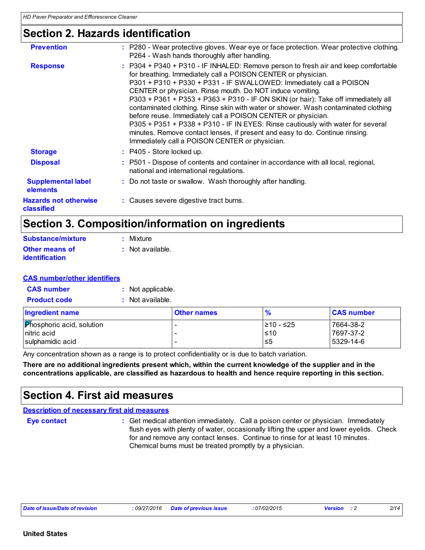## **Section 2. Hazards identification**

| <b>Prevention</b>                          | : P280 - Wear protective gloves. Wear eye or face protection. Wear protective clothing.<br>P264 - Wash hands thoroughly after handling.                                                                                                                                                                                                                                                                                                                                                                                                                                                                                                                                                                                                                 |
|--------------------------------------------|---------------------------------------------------------------------------------------------------------------------------------------------------------------------------------------------------------------------------------------------------------------------------------------------------------------------------------------------------------------------------------------------------------------------------------------------------------------------------------------------------------------------------------------------------------------------------------------------------------------------------------------------------------------------------------------------------------------------------------------------------------|
| <b>Response</b>                            | : P304 + P340 + P310 - IF INHALED: Remove person to fresh air and keep comfortable<br>for breathing. Immediately call a POISON CENTER or physician.<br>P301 + P310 + P330 + P331 - IF SWALLOWED: Immediately call a POISON<br>CENTER or physician. Rinse mouth. Do NOT induce vomiting.<br>P303 + P361 + P353 + P363 + P310 - IF ON SKIN (or hair): Take off immediately all<br>contaminated clothing. Rinse skin with water or shower. Wash contaminated clothing<br>before reuse. Immediately call a POISON CENTER or physician.<br>P305 + P351 + P338 + P310 - IF IN EYES: Rinse cautiously with water for several<br>minutes. Remove contact lenses, if present and easy to do. Continue rinsing.<br>Immediately call a POISON CENTER or physician. |
| <b>Storage</b>                             | $:$ P405 - Store locked up.                                                                                                                                                                                                                                                                                                                                                                                                                                                                                                                                                                                                                                                                                                                             |
| <b>Disposal</b>                            | : P501 - Dispose of contents and container in accordance with all local, regional,<br>national and international regulations.                                                                                                                                                                                                                                                                                                                                                                                                                                                                                                                                                                                                                           |
| <b>Supplemental label</b><br>elements      | : Do not taste or swallow. Wash thoroughly after handling.                                                                                                                                                                                                                                                                                                                                                                                                                                                                                                                                                                                                                                                                                              |
| <b>Hazards not otherwise</b><br>classified | : Causes severe digestive tract burns.                                                                                                                                                                                                                                                                                                                                                                                                                                                                                                                                                                                                                                                                                                                  |

## **Section 3. Composition/information on ingredients**

| <b>Substance/mixture</b>                | $:$ Mixture        |
|-----------------------------------------|--------------------|
| Other means of<br><b>identification</b> | $:$ Not available. |

#### **CAS number/other identifiers**

| <b>CAS number</b> | Not applicable. |
|-------------------|-----------------|
|                   |                 |

| <b>Product code</b> | Not available. |
|---------------------|----------------|
|                     |                |

| <b>Ingredient name</b>           | <b>Other names</b> | $\frac{9}{6}$ | <b>CAS number</b> |
|----------------------------------|--------------------|---------------|-------------------|
| <b>Phosphoric acid, solution</b> |                    | I≥10 - ≤25    | 7664-38-2         |
| Initric acid                     |                    | ≤10           | 17697-37-2        |
| I sulphamidic acid               |                    | ≤5            | 5329-14-6         |

Any concentration shown as a range is to protect confidentiality or is due to batch variation.

**There are no additional ingredients present which, within the current knowledge of the supplier and in the concentrations applicable, are classified as hazardous to health and hence require reporting in this section.**

### **Section 4. First aid measures**

|  | <b>Description of necessary first aid measures</b> |  |
|--|----------------------------------------------------|--|
|  |                                                    |  |

**Eye contact :**

: Get medical attention immediately. Call a poison center or physician. Immediately flush eyes with plenty of water, occasionally lifting the upper and lower eyelids. Check for and remove any contact lenses. Continue to rinse for at least 10 minutes. Chemical burns must be treated promptly by a physician.

*Date of issue/Date of revision* **:** *09/27/2016 Date of previous issue : 07/02/2015 Version : 2 2/14*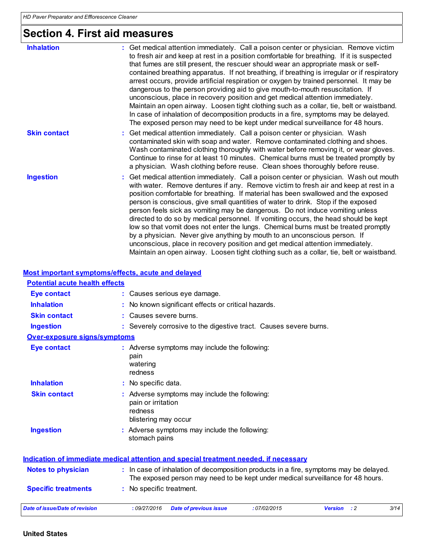## **Section 4. First aid measures**

| <b>Inhalation</b>   | Get medical attention immediately. Call a poison center or physician. Remove victim<br>to fresh air and keep at rest in a position comfortable for breathing. If it is suspected<br>that fumes are still present, the rescuer should wear an appropriate mask or self-<br>contained breathing apparatus. If not breathing, if breathing is irregular or if respiratory<br>arrest occurs, provide artificial respiration or oxygen by trained personnel. It may be<br>dangerous to the person providing aid to give mouth-to-mouth resuscitation. If<br>unconscious, place in recovery position and get medical attention immediately.<br>Maintain an open airway. Loosen tight clothing such as a collar, tie, belt or waistband.<br>In case of inhalation of decomposition products in a fire, symptoms may be delayed.<br>The exposed person may need to be kept under medical surveillance for 48 hours. |
|---------------------|-------------------------------------------------------------------------------------------------------------------------------------------------------------------------------------------------------------------------------------------------------------------------------------------------------------------------------------------------------------------------------------------------------------------------------------------------------------------------------------------------------------------------------------------------------------------------------------------------------------------------------------------------------------------------------------------------------------------------------------------------------------------------------------------------------------------------------------------------------------------------------------------------------------|
| <b>Skin contact</b> | : Get medical attention immediately. Call a poison center or physician. Wash<br>contaminated skin with soap and water. Remove contaminated clothing and shoes.<br>Wash contaminated clothing thoroughly with water before removing it, or wear gloves.<br>Continue to rinse for at least 10 minutes. Chemical burns must be treated promptly by<br>a physician. Wash clothing before reuse. Clean shoes thoroughly before reuse.                                                                                                                                                                                                                                                                                                                                                                                                                                                                            |
| <b>Ingestion</b>    | : Get medical attention immediately. Call a poison center or physician. Wash out mouth<br>with water. Remove dentures if any. Remove victim to fresh air and keep at rest in a<br>position comfortable for breathing. If material has been swallowed and the exposed<br>person is conscious, give small quantities of water to drink. Stop if the exposed<br>person feels sick as vomiting may be dangerous. Do not induce vomiting unless<br>directed to do so by medical personnel. If vomiting occurs, the head should be kept<br>low so that vomit does not enter the lungs. Chemical burns must be treated promptly<br>by a physician. Never give anything by mouth to an unconscious person. If<br>unconscious, place in recovery position and get medical attention immediately.<br>Maintain an open airway. Loosen tight clothing such as a collar, tie, belt or waistband.                         |

### **Most important symptoms/effects, acute and delayed**

| <b>Potential acute health effects</b> |                                                                                                                                                                          |
|---------------------------------------|--------------------------------------------------------------------------------------------------------------------------------------------------------------------------|
| <b>Eye contact</b>                    | : Causes serious eye damage.                                                                                                                                             |
| <b>Inhalation</b>                     | No known significant effects or critical hazards.                                                                                                                        |
| <b>Skin contact</b>                   | Causes severe burns.                                                                                                                                                     |
| <b>Ingestion</b>                      | : Severely corrosive to the digestive tract. Causes severe burns.                                                                                                        |
| <b>Over-exposure signs/symptoms</b>   |                                                                                                                                                                          |
| <b>Eye contact</b>                    | : Adverse symptoms may include the following:<br>pain<br>watering<br>redness                                                                                             |
| <b>Inhalation</b>                     | : No specific data.                                                                                                                                                      |
| <b>Skin contact</b>                   | Adverse symptoms may include the following:<br>pain or irritation<br>redness<br>blistering may occur                                                                     |
| <b>Ingestion</b>                      | : Adverse symptoms may include the following:<br>stomach pains                                                                                                           |
|                                       | <b>Indication of immediate medical attention and special treatment needed, if necessary</b>                                                                              |
| <b>Notes to physician</b>             | : In case of inhalation of decomposition products in a fire, symptoms may be delayed.<br>The exposed person may need to be kept under medical surveillance for 48 hours. |
| <b>Specific treatments</b>            | : No specific treatment.                                                                                                                                                 |
| Date of issue/Date of revision        | :09/27/2016<br>$\cdot$ : 2<br>3/14<br><b>Date of previous issue</b><br>:07/02/2015<br><b>Version</b>                                                                     |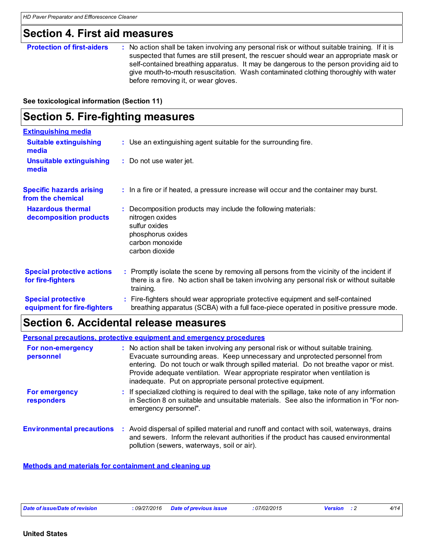## **Section 4. First aid measures**

#### **Protection of first-aiders** : No action shall be taken involving any personal risk or without suitable training. If it is suspected that fumes are still present, the rescuer should wear an appropriate mask or self-contained breathing apparatus. It may be dangerous to the person providing aid to give mouth-to-mouth resuscitation. Wash contaminated clothing thoroughly with water before removing it, or wear gloves.

**See toxicological information (Section 11)**

| <b>Section 5. Fire-fighting measures</b>                 |                                                                                                                                                                                                     |  |
|----------------------------------------------------------|-----------------------------------------------------------------------------------------------------------------------------------------------------------------------------------------------------|--|
| <b>Extinguishing media</b>                               |                                                                                                                                                                                                     |  |
| <b>Suitable extinguishing</b><br>media                   | : Use an extinguishing agent suitable for the surrounding fire.                                                                                                                                     |  |
| <b>Unsuitable extinguishing</b><br>media                 | : Do not use water jet.                                                                                                                                                                             |  |
| <b>Specific hazards arising</b><br>from the chemical     | : In a fire or if heated, a pressure increase will occur and the container may burst.                                                                                                               |  |
| <b>Hazardous thermal</b><br>decomposition products       | : Decomposition products may include the following materials:<br>nitrogen oxides<br>sulfur oxides<br>phosphorus oxides<br>carbon monoxide<br>carbon dioxide                                         |  |
| <b>Special protective actions</b><br>for fire-fighters   | : Promptly isolate the scene by removing all persons from the vicinity of the incident if<br>there is a fire. No action shall be taken involving any personal risk or without suitable<br>training. |  |
| <b>Special protective</b><br>equipment for fire-fighters | : Fire-fighters should wear appropriate protective equipment and self-contained<br>breathing apparatus (SCBA) with a full face-piece operated in positive pressure mode.                            |  |

## **Section 6. Accidental release measures**

**Personal precautions, protective equipment and emergency procedures**

| For non-emergency<br>personnel            | : No action shall be taken involving any personal risk or without suitable training.<br>Evacuate surrounding areas. Keep unnecessary and unprotected personnel from<br>entering. Do not touch or walk through spilled material. Do not breathe vapor or mist.<br>Provide adequate ventilation. Wear appropriate respirator when ventilation is<br>inadequate. Put on appropriate personal protective equipment. |
|-------------------------------------------|-----------------------------------------------------------------------------------------------------------------------------------------------------------------------------------------------------------------------------------------------------------------------------------------------------------------------------------------------------------------------------------------------------------------|
| <b>For emergency</b><br><b>responders</b> | : If specialized clothing is required to deal with the spillage, take note of any information<br>in Section 8 on suitable and unsuitable materials. See also the information in "For non-<br>emergency personnel".                                                                                                                                                                                              |
| <b>Environmental precautions</b>          | : Avoid dispersal of spilled material and runoff and contact with soil, waterways, drains<br>and sewers. Inform the relevant authorities if the product has caused environmental<br>pollution (sewers, waterways, soil or air).                                                                                                                                                                                 |

#### **Methods and materials for containment and cleaning up**

| Date of issue/Date of revision |  |
|--------------------------------|--|
|--------------------------------|--|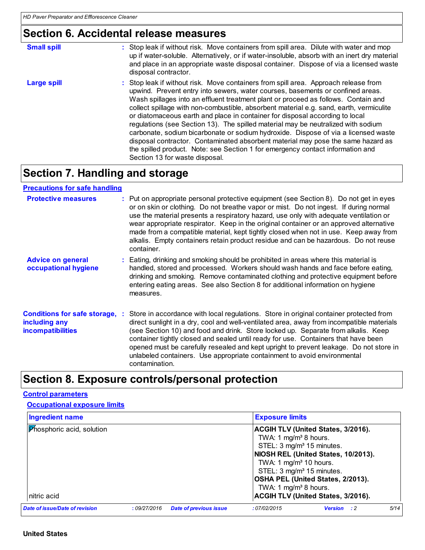## **Section 6. Accidental release measures**

| <b>Small spill</b> | : Stop leak if without risk. Move containers from spill area. Dilute with water and mop<br>up if water-soluble. Alternatively, or if water-insoluble, absorb with an inert dry material<br>and place in an appropriate waste disposal container. Dispose of via a licensed waste<br>disposal contractor.                                                                                                                                                                                                                                                                                                                                                                                                                                                                                                                  |
|--------------------|---------------------------------------------------------------------------------------------------------------------------------------------------------------------------------------------------------------------------------------------------------------------------------------------------------------------------------------------------------------------------------------------------------------------------------------------------------------------------------------------------------------------------------------------------------------------------------------------------------------------------------------------------------------------------------------------------------------------------------------------------------------------------------------------------------------------------|
| <b>Large spill</b> | : Stop leak if without risk. Move containers from spill area. Approach release from<br>upwind. Prevent entry into sewers, water courses, basements or confined areas.<br>Wash spillages into an effluent treatment plant or proceed as follows. Contain and<br>collect spillage with non-combustible, absorbent material e.g. sand, earth, vermiculite<br>or diatomaceous earth and place in container for disposal according to local<br>regulations (see Section 13). The spilled material may be neutralized with sodium<br>carbonate, sodium bicarbonate or sodium hydroxide. Dispose of via a licensed waste<br>disposal contractor. Contaminated absorbent material may pose the same hazard as<br>the spilled product. Note: see Section 1 for emergency contact information and<br>Section 13 for waste disposal. |

## **Section 7. Handling and storage**

**Advice on general occupational hygiene Conditions for safe storage, : including any incompatibilities** Eating, drinking and smoking should be prohibited in areas where this material is **:** handled, stored and processed. Workers should wash hands and face before eating, drinking and smoking. Remove contaminated clothing and protective equipment before entering eating areas. See also Section 8 for additional information on hygiene measures. Store in accordance with local regulations. Store in original container protected from direct sunlight in a dry, cool and well-ventilated area, away from incompatible materials (see Section 10) and food and drink. Store locked up. Separate from alkalis. Keep container tightly closed and sealed until ready for use. Containers that have been opened must be carefully resealed and kept upright to prevent leakage. Do not store in unlabeled containers. Use appropriate containment to avoid environmental contamination. **Protective measures** : Put on appropriate personal protective equipment (see Section 8). Do not get in eyes or on skin or clothing. Do not breathe vapor or mist. Do not ingest. If during normal use the material presents a respiratory hazard, use only with adequate ventilation or wear appropriate respirator. Keep in the original container or an approved alternative made from a compatible material, kept tightly closed when not in use. Keep away from alkalis. Empty containers retain product residue and can be hazardous. Do not reuse container. **: Precautions for safe handling**

## **Section 8. Exposure controls/personal protection**

#### **Control parameters**

**Occupational exposure limits**

| <b>Ingredient name</b>                   |             |                               | <b>Exposure limits</b>                                                                                                                                           |                                                                                                                                                             |      |
|------------------------------------------|-------------|-------------------------------|------------------------------------------------------------------------------------------------------------------------------------------------------------------|-------------------------------------------------------------------------------------------------------------------------------------------------------------|------|
| Phosphoric acid, solution<br>nitric acid |             |                               | TWA: 1 $mg/m3$ 8 hours.<br>STEL: 3 mg/m <sup>3</sup> 15 minutes.<br>TWA: 1 $mg/m3$ 10 hours.<br>STEL: 3 mg/m <sup>3</sup> 15 minutes.<br>TWA: 1 $mg/m3$ 8 hours. | ACGIH TLV (United States, 3/2016).<br>NIOSH REL (United States, 10/2013).<br>OSHA PEL (United States, 2/2013).<br><b>ACGIH TLV (United States, 3/2016).</b> |      |
| Date of issue/Date of revision           | :09/27/2016 | <b>Date of previous issue</b> | :07/02/2015                                                                                                                                                      | <b>Version</b> : 2                                                                                                                                          | 5/14 |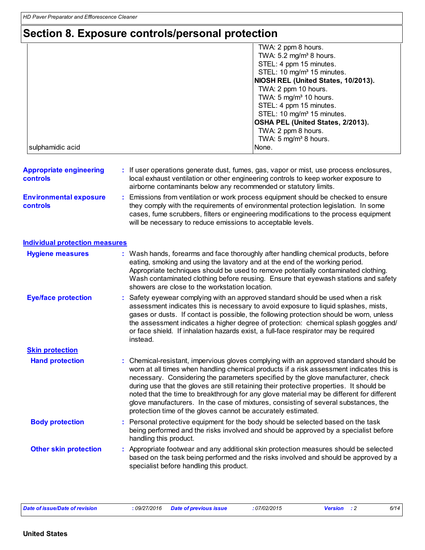## **Section 8. Exposure controls/personal protection**

|                  | TWA: 2 ppm 8 hours.                    |
|------------------|----------------------------------------|
|                  | TWA: 5.2 mg/m <sup>3</sup> 8 hours.    |
|                  | STEL: 4 ppm 15 minutes.                |
|                  | STEL: 10 mg/m <sup>3</sup> 15 minutes. |
|                  | NIOSH REL (United States, 10/2013).    |
|                  | TWA: 2 ppm 10 hours.                   |
|                  | TWA: $5 \text{ mg/m}^3$ 10 hours.      |
|                  | STEL: 4 ppm 15 minutes.                |
|                  | STEL: 10 mg/m <sup>3</sup> 15 minutes. |
|                  | OSHA PEL (United States, 2/2013).      |
|                  | TWA: 2 ppm 8 hours.                    |
|                  | TWA: 5 $mg/m3$ 8 hours.                |
| sulphamidic acid | None.                                  |

| <b>Appropriate engineering</b><br><b>controls</b> | : If user operations generate dust, fumes, gas, vapor or mist, use process enclosures,<br>local exhaust ventilation or other engineering controls to keep worker exposure to<br>airborne contaminants below any recommended or statutory limits. |
|---------------------------------------------------|--------------------------------------------------------------------------------------------------------------------------------------------------------------------------------------------------------------------------------------------------|
| <b>Environmental exposure</b>                     | : Emissions from ventilation or work process equipment should be checked to ensure                                                                                                                                                               |
| <b>controls</b>                                   | they comply with the requirements of environmental protection legislation. In some                                                                                                                                                               |

| . | <u>ever a compressor and confirmation of continuous provisor provident in distance in the control of</u> |
|---|----------------------------------------------------------------------------------------------------------|
|   | cases, fume scrubbers, filters or engineering modifications to the process equipment                     |
|   | will be necessary to reduce emissions to acceptable levels.                                              |
|   |                                                                                                          |

| Individual protection measures |
|--------------------------------|
|                                |

| <b>Hygiene measures</b>      | : Wash hands, forearms and face thoroughly after handling chemical products, before<br>eating, smoking and using the lavatory and at the end of the working period.<br>Appropriate techniques should be used to remove potentially contaminated clothing.<br>Wash contaminated clothing before reusing. Ensure that eyewash stations and safety<br>showers are close to the workstation location.                                                                                                                                                                                                                      |
|------------------------------|------------------------------------------------------------------------------------------------------------------------------------------------------------------------------------------------------------------------------------------------------------------------------------------------------------------------------------------------------------------------------------------------------------------------------------------------------------------------------------------------------------------------------------------------------------------------------------------------------------------------|
| <b>Eye/face protection</b>   | : Safety eyewear complying with an approved standard should be used when a risk<br>assessment indicates this is necessary to avoid exposure to liquid splashes, mists,<br>gases or dusts. If contact is possible, the following protection should be worn, unless<br>the assessment indicates a higher degree of protection: chemical splash goggles and/<br>or face shield. If inhalation hazards exist, a full-face respirator may be required<br>instead.                                                                                                                                                           |
| <b>Skin protection</b>       |                                                                                                                                                                                                                                                                                                                                                                                                                                                                                                                                                                                                                        |
| <b>Hand protection</b>       | : Chemical-resistant, impervious gloves complying with an approved standard should be<br>worn at all times when handling chemical products if a risk assessment indicates this is<br>necessary. Considering the parameters specified by the glove manufacturer, check<br>during use that the gloves are still retaining their protective properties. It should be<br>noted that the time to breakthrough for any glove material may be different for different<br>glove manufacturers. In the case of mixtures, consisting of several substances, the<br>protection time of the gloves cannot be accurately estimated. |
| <b>Body protection</b>       | Personal protective equipment for the body should be selected based on the task<br>being performed and the risks involved and should be approved by a specialist before<br>handling this product.                                                                                                                                                                                                                                                                                                                                                                                                                      |
| <b>Other skin protection</b> | : Appropriate footwear and any additional skin protection measures should be selected<br>based on the task being performed and the risks involved and should be approved by a<br>specialist before handling this product.                                                                                                                                                                                                                                                                                                                                                                                              |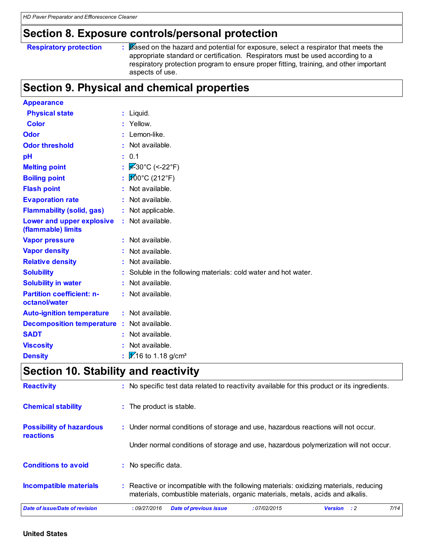## **Section 8. Exposure controls/personal protection**

#### **Respiratory protection :**

Based on the hazard and potential for exposure, select a respirator that meets the appropriate standard or certification. Respirators must be used according to a respiratory protection program to ensure proper fitting, training, and other important aspects of use.

## **Section 9. Physical and chemical properties**

| <b>Appearance</b>                                 |                                                               |
|---------------------------------------------------|---------------------------------------------------------------|
| <b>Physical state</b>                             | $:$ Liquid.                                                   |
| <b>Color</b>                                      | Yellow.                                                       |
| Odor                                              | Lemon-like.                                                   |
| <b>Odor threshold</b>                             | Not available.                                                |
| pH                                                | : 0.1                                                         |
| <b>Melting point</b>                              | $\sqrt{\mathcal{Z}}$ -30°C (<-22°F)                           |
| <b>Boiling point</b>                              | $100^{\circ}$ C (212 $^{\circ}$ F)                            |
| <b>Flash point</b>                                | : Not available.                                              |
| <b>Evaporation rate</b>                           | : Not available.                                              |
| <b>Flammability (solid, gas)</b>                  | : Not applicable.                                             |
| Lower and upper explosive<br>(flammable) limits   | : Not available.                                              |
| <b>Vapor pressure</b>                             | $:$ Not available.                                            |
| <b>Vapor density</b>                              | Not available.                                                |
| <b>Relative density</b>                           | Not available.                                                |
| <b>Solubility</b>                                 | Soluble in the following materials: cold water and hot water. |
| <b>Solubility in water</b>                        | : Not available.                                              |
| <b>Partition coefficient: n-</b><br>octanol/water | : Not available.                                              |
| <b>Auto-ignition temperature</b>                  | : Not available.                                              |
| <b>Decomposition temperature</b>                  | : Not available.                                              |
| <b>SADT</b>                                       | $:$ Not available.                                            |
| <b>Viscosity</b>                                  | Not available.                                                |
| <b>Density</b>                                    | $\frac{1}{16}$ to 1.18 g/cm <sup>3</sup>                      |

## **Section 10. Stability and reactivity**

| <b>Reactivity</b>                                   | : No specific test data related to reactivity available for this product or its ingredients.                                                                              |  |  |  |  |
|-----------------------------------------------------|---------------------------------------------------------------------------------------------------------------------------------------------------------------------------|--|--|--|--|
| <b>Chemical stability</b>                           | : The product is stable.                                                                                                                                                  |  |  |  |  |
| <b>Possibility of hazardous</b><br><b>reactions</b> | : Under normal conditions of storage and use, hazardous reactions will not occur.                                                                                         |  |  |  |  |
|                                                     | Under normal conditions of storage and use, hazardous polymerization will not occur.                                                                                      |  |  |  |  |
| <b>Conditions to avoid</b>                          | : No specific data.                                                                                                                                                       |  |  |  |  |
| Incompatible materials                              | : Reactive or incompatible with the following materials: oxidizing materials, reducing<br>materials, combustible materials, organic materials, metals, acids and alkalis. |  |  |  |  |
| Date of issue/Date of revision                      | 7/14<br>:09/27/2016<br><b>Date of previous issue</b><br>:07/02/2015<br><b>Version</b> : 2                                                                                 |  |  |  |  |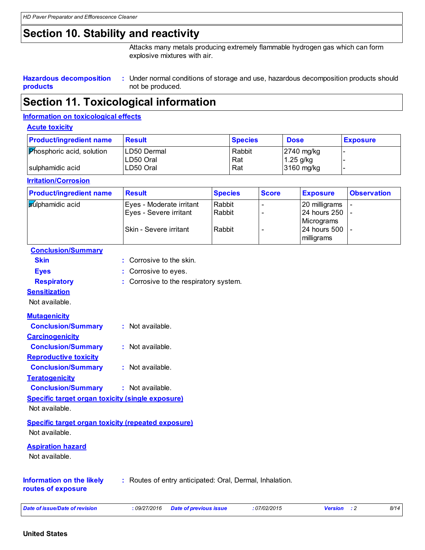## **Section 10. Stability and reactivity**

Attacks many metals producing extremely flammable hydrogen gas which can form explosive mixtures with air.

#### **Hazardous decomposition products** Under normal conditions of storage and use, hazardous decomposition products should **:** not be produced.

## **Section 11. Toxicological information**

#### **Information on toxicological effects**

#### **Acute toxicity**

| <b>Product/ingredient name</b>   | <b>Result</b> | <b>Species</b> | <b>Dose</b>  | <b>Exposure</b> |
|----------------------------------|---------------|----------------|--------------|-----------------|
| <b>Phosphoric acid, solution</b> | LD50 Dermal   | Rabbit         | $2740$ mg/kg |                 |
|                                  | LD50 Oral     | Rat            | $1.25$ g/kg  |                 |
| sulphamidic acid                 | LD50 Oral     | Rat            | 3160 mg/kg   |                 |

#### **Irritation/Corrosion**

| <b>Product/ingredient name</b> | <b>Result</b>            | <b>Species</b> | <b>Score</b> | <b>Exposure</b> | <b>Observation</b> |
|--------------------------------|--------------------------|----------------|--------------|-----------------|--------------------|
| <b>Sulphamidic acid</b>        | Eyes - Moderate irritant | Rabbit         |              | 20 milligrams   |                    |
|                                | Eyes - Severe irritant   | Rabbit         |              | 24 hours 250  - |                    |
|                                |                          |                |              | Micrograms      |                    |
|                                | Skin - Severe irritant   | Rabbit         |              | 24 hours 500  - |                    |
|                                |                          |                |              | milligrams      |                    |

| <b>Conclusion/Summary</b>                               |                                                           |
|---------------------------------------------------------|-----------------------------------------------------------|
| <b>Skin</b>                                             | : Corrosive to the skin.                                  |
| <b>Eyes</b>                                             | Corrosive to eyes.                                        |
| <b>Respiratory</b>                                      | : Corrosive to the respiratory system.                    |
| <b>Sensitization</b>                                    |                                                           |
| Not available.                                          |                                                           |
| <b>Mutagenicity</b>                                     |                                                           |
| <b>Conclusion/Summary</b>                               | $:$ Not available.                                        |
| <b>Carcinogenicity</b>                                  |                                                           |
| <b>Conclusion/Summary</b>                               | $:$ Not available.                                        |
| <b>Reproductive toxicity</b>                            |                                                           |
| <b>Conclusion/Summary</b>                               | $:$ Not available.                                        |
| <b>Teratogenicity</b>                                   |                                                           |
| <b>Conclusion/Summary</b>                               | : Not available.                                          |
| <b>Specific target organ toxicity (single exposure)</b> |                                                           |
| Not available.                                          |                                                           |
|                                                         | <b>Specific target organ toxicity (repeated exposure)</b> |
| Not available.                                          |                                                           |
| <b>Aspiration hazard</b>                                |                                                           |
| Not available.                                          |                                                           |
| <b>Information on the likely</b><br>routes of exposure  | : Routes of entry anticipated: Oral, Dermal, Inhalation.  |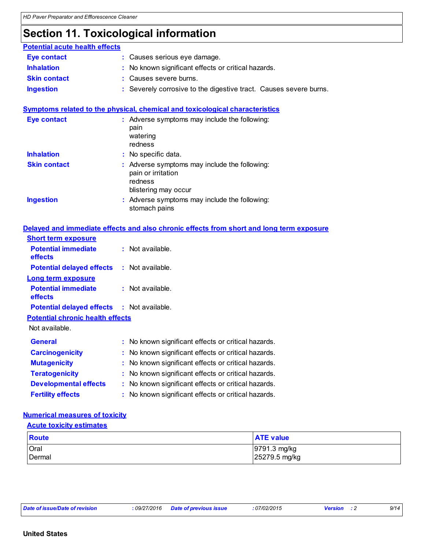## **Section 11. Toxicological information**

| <b>Potential acute health effects</b> |                                                                   |
|---------------------------------------|-------------------------------------------------------------------|
| <b>Eye contact</b>                    | : Causes serious eye damage.                                      |
| <b>Inhalation</b>                     | : No known significant effects or critical hazards.               |
| <b>Skin contact</b>                   | : Causes severe burns.                                            |
| <b>Ingestion</b>                      | : Severely corrosive to the digestive tract. Causes severe burns. |

#### **Symptoms related to the physical, chemical and toxicological characteristics Skin contact Ingestion Inhalation** : No specific data. Adverse symptoms may include the following: **:** stomach pains Adverse symptoms may include the following: **:** pain or irritation redness blistering may occur **Eye contact :** Adverse symptoms may include the following: pain watering redness

|                                                   | Delayed and immediate effects and also chronic effects from short and long term exposure |
|---------------------------------------------------|------------------------------------------------------------------------------------------|
| <b>Short term exposure</b>                        |                                                                                          |
| <b>Potential immediate</b><br><b>effects</b>      | $:$ Not available.                                                                       |
| <b>Potential delayed effects</b>                  | : Not available.                                                                         |
| <b>Long term exposure</b>                         |                                                                                          |
| <b>Potential immediate</b><br><b>effects</b>      | $:$ Not available.                                                                       |
| <b>Potential delayed effects : Not available.</b> |                                                                                          |
| <b>Potential chronic health effects</b>           |                                                                                          |
| Not available.                                    |                                                                                          |
| General                                           | : No known significant effects or critical hazards.                                      |
| <b>Carcinogenicity</b>                            | : No known significant effects or critical hazards.                                      |
| <b>Mutagenicity</b>                               | : No known significant effects or critical hazards.                                      |
| <b>Teratogenicity</b>                             | No known significant effects or critical hazards.                                        |
| <b>Developmental effects</b>                      | : No known significant effects or critical hazards.                                      |

**Fertility effects :** No known significant effects or critical hazards.

#### **Numerical measures of toxicity**

#### **Acute toxicity estimates**

| Route  | <b>ATE value</b> |
|--------|------------------|
| Oral   | 9791.3 mg/kg     |
| Dermal | 25279.5 mg/kg    |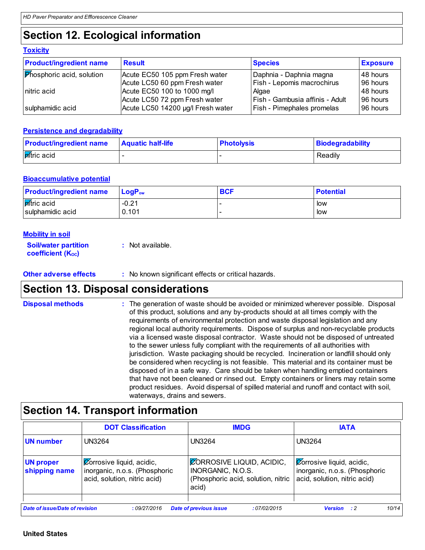## **Section 12. Ecological information**

| <b>TOXICILY</b>                  |                                   |                                 |                 |
|----------------------------------|-----------------------------------|---------------------------------|-----------------|
| <b>Product/ingredient name</b>   | <b>Result</b>                     | <b>Species</b>                  | <b>Exposure</b> |
| <b>Phosphoric acid, solution</b> | Acute EC50 105 ppm Fresh water    | Daphnia - Daphnia magna         | 148 hours       |
|                                  | Acute LC50 60 ppm Fresh water     | Fish - Lepomis macrochirus      | 96 hours        |
| nitric acid                      | Acute EC50 100 to 1000 mg/l       | Algae                           | 48 hours        |
|                                  | Acute LC50 72 ppm Fresh water     | Fish - Gambusia affinis - Adult | 96 hours        |
| sulphamidic acid                 | Acute LC50 14200 µg/l Fresh water | Fish - Pimephales promelas      | 96 hours        |

#### **Persistence and degradability**

| <b>Product/ingredient name</b> | <b>Aquatic half-life</b> | <b>Photolysis</b> | <b>Biodegradability</b> |
|--------------------------------|--------------------------|-------------------|-------------------------|
| <b>R</b> itric acid            |                          |                   | Readily                 |

#### **Bioaccumulative potential**

| <b>Product/ingredient name</b> | $\mathsf{LogP}_\mathsf{ow}$ | <b>BCF</b> | <b>Potential</b> |
|--------------------------------|-----------------------------|------------|------------------|
| <b>pitric</b> acid             | $-0.21$                     |            | low              |
| sulphamidic acid               | 0.101                       |            | low              |

#### **Mobility in soil**

**Toxicity**

| <b>Soil/water partition</b> | : Not available. |
|-----------------------------|------------------|
| <b>coefficient (Koc)</b>    |                  |

#### **Other adverse effects** : No known significant effects or critical hazards.

## **Section 13. Disposal considerations**

The generation of waste should be avoided or minimized wherever possible. Disposal of this product, solutions and any by-products should at all times comply with the requirements of environmental protection and waste disposal legislation and any regional local authority requirements. Dispose of surplus and non-recyclable products via a licensed waste disposal contractor. Waste should not be disposed of untreated to the sewer unless fully compliant with the requirements of all authorities with jurisdiction. Waste packaging should be recycled. Incineration or landfill should only be considered when recycling is not feasible. This material and its container must be disposed of in a safe way. Care should be taken when handling emptied containers that have not been cleaned or rinsed out. Empty containers or liners may retain some product residues. Avoid dispersal of spilled material and runoff and contact with soil, waterways, drains and sewers. **Disposal methods :**

## **Section 14. Transport information**

|                                                                                                                                 | <b>DOT Classification</b>                                                                         | <b>IMDG</b>                                                                                          | <b>IATA</b>                                                                                                    |  |
|---------------------------------------------------------------------------------------------------------------------------------|---------------------------------------------------------------------------------------------------|------------------------------------------------------------------------------------------------------|----------------------------------------------------------------------------------------------------------------|--|
| UN number                                                                                                                       | UN3264                                                                                            | UN3264                                                                                               | UN3264                                                                                                         |  |
| <b>UN proper</b><br>shipping name                                                                                               | $\chi$ Corrosive liquid, acidic,<br>inorganic, n.o.s. (Phosphoric<br>acid, solution, nitric acid) | <b>CORROSIVE LIQUID, ACIDIC,</b><br>INORGANIC, N.O.S.<br>(Phosphoric acid, solution, nitric<br>acid) | $\sqrt{\mathcal{Q}}$ orrosive liquid, acidic,<br>inorganic, n.o.s. (Phosphoric<br>acid, solution, nitric acid) |  |
| Date of issue/Date of revision<br>10/14<br>:09/27/2016<br><b>Date of previous issue</b><br>:07/02/2015<br><b>Version</b><br>- 2 |                                                                                                   |                                                                                                      |                                                                                                                |  |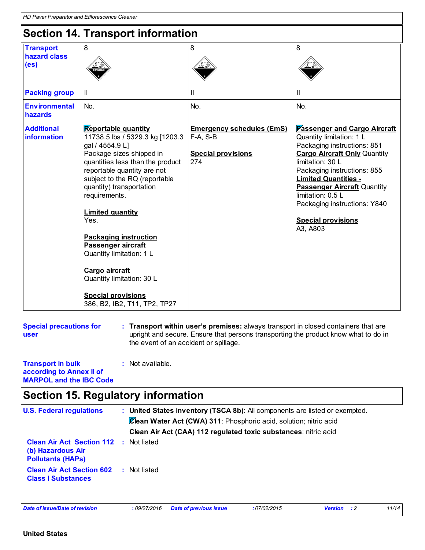## **Section 14. Transport information**

|                                                       | 00000011 17. 1100190010 111101111001011                                                                                                                                                                                                                                                                                                                                                                                                                                                        |                                                                                    |                                                                                                                                                                                                                                                                                                                                                             |
|-------------------------------------------------------|------------------------------------------------------------------------------------------------------------------------------------------------------------------------------------------------------------------------------------------------------------------------------------------------------------------------------------------------------------------------------------------------------------------------------------------------------------------------------------------------|------------------------------------------------------------------------------------|-------------------------------------------------------------------------------------------------------------------------------------------------------------------------------------------------------------------------------------------------------------------------------------------------------------------------------------------------------------|
| <b>Transport</b><br>hazard class<br>(e <sub>s</sub> ) | 8                                                                                                                                                                                                                                                                                                                                                                                                                                                                                              | 8                                                                                  | 8                                                                                                                                                                                                                                                                                                                                                           |
| <b>Packing group</b>                                  | $\mathbf{I}$                                                                                                                                                                                                                                                                                                                                                                                                                                                                                   | Ш                                                                                  | Ш                                                                                                                                                                                                                                                                                                                                                           |
| <b>Environmental</b><br>hazards                       | No.                                                                                                                                                                                                                                                                                                                                                                                                                                                                                            | No.                                                                                | No.                                                                                                                                                                                                                                                                                                                                                         |
| <b>Additional</b><br>information                      | <b>Reportable quantity</b><br>11738.5 lbs / 5329.3 kg [1203.3<br>gal / 4554.9 L]<br>Package sizes shipped in<br>quantities less than the product<br>reportable quantity are not<br>subject to the RQ (reportable<br>quantity) transportation<br>requirements.<br><b>Limited quantity</b><br>Yes.<br><b>Packaging instruction</b><br>Passenger aircraft<br>Quantity limitation: 1 L<br>Cargo aircraft<br>Quantity limitation: 30 L<br><b>Special provisions</b><br>386, B2, IB2, T11, TP2, TP27 | <b>Emergency schedules (EmS)</b><br>$F-A, S-B$<br><b>Special provisions</b><br>274 | <b>Passenger and Cargo Aircraft</b><br>Quantity limitation: 1 L<br>Packaging instructions: 851<br><b>Cargo Aircraft Only Quantity</b><br>limitation: 30 L<br>Packaging instructions: 855<br><b>Limited Quantities -</b><br><b>Passenger Aircraft Quantity</b><br>limitation: 0.5 L<br>Packaging instructions: Y840<br><b>Special provisions</b><br>A3, A803 |

**Special precautions for user**

**Transport within user's premises:** always transport in closed containers that are **:** upright and secure. Ensure that persons transporting the product know what to do in the event of an accident or spillage.

#### **Transport in bulk according to Annex II of MARPOL and the IBC Code :** Not available.

## **Section 15. Regulatory information**

| <b>U.S. Federal regulations</b>                                              |  | : United States inventory (TSCA 8b): All components are listed or exempted. |
|------------------------------------------------------------------------------|--|-----------------------------------------------------------------------------|
|                                                                              |  | Clean Water Act (CWA) 311: Phosphoric acid, solution; nitric acid           |
|                                                                              |  | Clean Air Act (CAA) 112 regulated toxic substances: nitric acid             |
| Clean Air Act Section 112 :<br>(b) Hazardous Air<br><b>Pollutants (HAPS)</b> |  | Not listed                                                                  |
| <b>Clean Air Act Section 602</b><br><b>Class I Substances</b>                |  | : Not listed                                                                |
|                                                                              |  |                                                                             |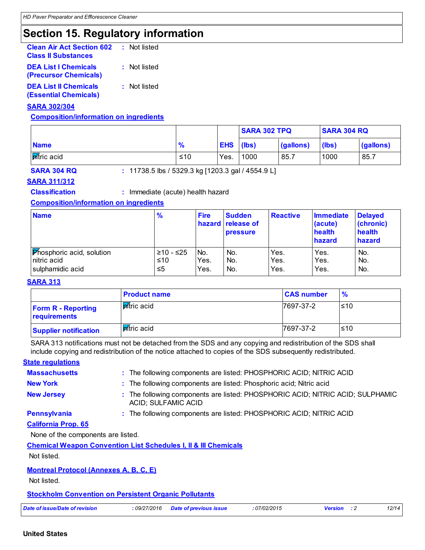## **Section 15. Regulatory information**

| <b>Clean Air Act Section 602</b><br><b>Class II Substances</b> | : Not listed |
|----------------------------------------------------------------|--------------|
| <b>DEA List I Chemicals</b><br>(Precursor Chemicals)           | : Not listed |
| <b>DEA List II Chemicals</b><br><b>(Essential Chemicals)</b>   | : Not listed |

#### **SARA 302/304**

#### **Composition/information on ingredients**

|                   |               |            | <b>SARA 302 TPQ</b> |           | <b>SARA 304 RQ</b> |           |
|-------------------|---------------|------------|---------------------|-----------|--------------------|-----------|
| <b>Name</b>       | $\frac{9}{6}$ | <b>EHS</b> | (lbs)               | (gallons) | (lbs)              | (gallons) |
| <b>Atric</b> acid | ≤10           | Yes.       | 1000                | 85.7      | 1000               | 85.7      |

**SARA 304 RQ :** 11738.5 lbs / 5329.3 kg [1203.3 gal / 4554.9 L]

#### **SARA 311/312**

**Classification :** Immediate (acute) health hazard

#### **Composition/information on ingredients**

| <b>Name</b>                      | $\frac{9}{6}$ | <b>Fire</b>     | <b>Sudden</b><br>hazard release of<br><b>pressure</b> | <b>Reactive</b> | <b>Immediate</b><br>(acute)<br>health<br>hazard | <b>Delayed</b><br>(chronic)<br>health<br>hazard |
|----------------------------------|---------------|-----------------|-------------------------------------------------------|-----------------|-------------------------------------------------|-------------------------------------------------|
| <b>Phosphoric acid, solution</b> | ≥10 - ≤25     | IN <sub>o</sub> | No.                                                   | Yes.            | Yes.                                            | No.                                             |
| nitric acid                      | ≤10           | Yes.            | No.                                                   | Yes.            | Yes.                                            | No.                                             |
| sulphamidic acid                 | ≤5            | Yes.            | No.                                                   | Yes.            | Yes.                                            | No.                                             |

#### **SARA 313**

|                                           | <b>Product name</b> | <b>CAS number</b> | $\frac{9}{6}$ |
|-------------------------------------------|---------------------|-------------------|---------------|
| <b>Form R - Reporting</b><br>requirements | <b>P</b> itric acid | 7697-37-2         | ≤10           |
| <b>Supplier notification</b>              | Mítric acid         | 7697-37-2         | ≤10           |

SARA 313 notifications must not be detached from the SDS and any copying and redistribution of the SDS shall include copying and redistribution of the notice attached to copies of the SDS subsequently redistributed.

#### **State regulations**

| <b>Massachusetts</b>                          | : The following components are listed: PHOSPHORIC ACID; NITRIC ACID                                   |
|-----------------------------------------------|-------------------------------------------------------------------------------------------------------|
| <b>New York</b>                               | : The following components are listed: Phosphoric acid; Nitric acid                                   |
| <b>New Jersey</b>                             | : The following components are listed: PHOSPHORIC ACID; NITRIC ACID; SULPHAMIC<br>ACID; SULFAMIC ACID |
| <b>Pennsylvania</b>                           | : The following components are listed: PHOSPHORIC ACID; NITRIC ACID                                   |
| <b>California Prop. 65</b>                    |                                                                                                       |
| None of the components are listed.            |                                                                                                       |
|                                               | <b>Chemical Weapon Convention List Schedules I, II &amp; III Chemicals</b>                            |
| Not listed.                                   |                                                                                                       |
| <b>Montreal Protocol (Annexes A, B, C, E)</b> |                                                                                                       |

Not listed.

#### **Stockholm Convention on Persistent Organic Pollutants**

| Date of issue/Date of revision | : 09/27/2016 Date of previous issue | :07/02/2015 | <b>Version</b> : 2 | 12/14 |
|--------------------------------|-------------------------------------|-------------|--------------------|-------|
|                                |                                     |             |                    |       |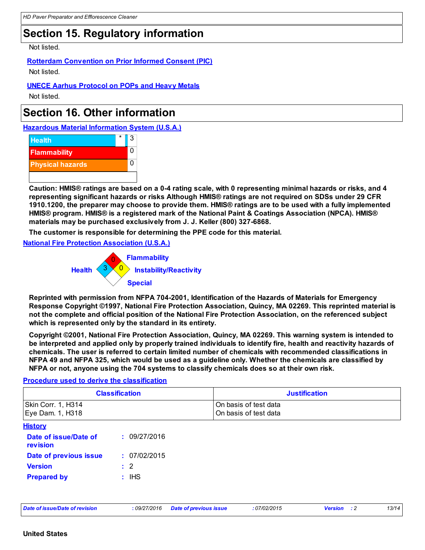## **Section 15. Regulatory information**

Not listed.

#### **Rotterdam Convention on Prior Informed Consent (PIC)**

Not listed.

#### **UNECE Aarhus Protocol on POPs and Heavy Metals**

Not listed.

## **Section 16. Other information**

**Hazardous Material Information System (U.S.A.)**



**Caution: HMIS® ratings are based on a 0-4 rating scale, with 0 representing minimal hazards or risks, and 4 representing significant hazards or risks Although HMIS® ratings are not required on SDSs under 29 CFR 1910.1200, the preparer may choose to provide them. HMIS® ratings are to be used with a fully implemented HMIS® program. HMIS® is a registered mark of the National Paint & Coatings Association (NPCA). HMIS® materials may be purchased exclusively from J. J. Keller (800) 327-6868.**

**The customer is responsible for determining the PPE code for this material.**

**National Fire Protection Association (U.S.A.)**



**Reprinted with permission from NFPA 704-2001, Identification of the Hazards of Materials for Emergency Response Copyright ©1997, National Fire Protection Association, Quincy, MA 02269. This reprinted material is not the complete and official position of the National Fire Protection Association, on the referenced subject which is represented only by the standard in its entirety.**

**Copyright ©2001, National Fire Protection Association, Quincy, MA 02269. This warning system is intended to be interpreted and applied only by properly trained individuals to identify fire, health and reactivity hazards of chemicals. The user is referred to certain limited number of chemicals with recommended classifications in NFPA 49 and NFPA 325, which would be used as a guideline only. Whether the chemicals are classified by NFPA or not, anyone using the 704 systems to classify chemicals does so at their own risk.**

#### **Procedure used to derive the classification**

| <b>Classification</b>                  |                | <b>Justification</b>                           |  |
|----------------------------------------|----------------|------------------------------------------------|--|
| Skin Corr. 1, H314<br>Eye Dam. 1, H318 |                | On basis of test data<br>On basis of test data |  |
| <b>History</b>                         |                |                                                |  |
| Date of issue/Date of<br>revision      | : 09/27/2016   |                                                |  |
| Date of previous issue                 | : 07/02/2015   |                                                |  |
| <b>Version</b>                         | $\therefore$ 2 |                                                |  |
| <b>Prepared by</b>                     | $:$ IHS        |                                                |  |

*Date of issue/Date of revision* **:** *09/27/2016 Date of previous issue : 07/02/2015 Version : 2 13/14*